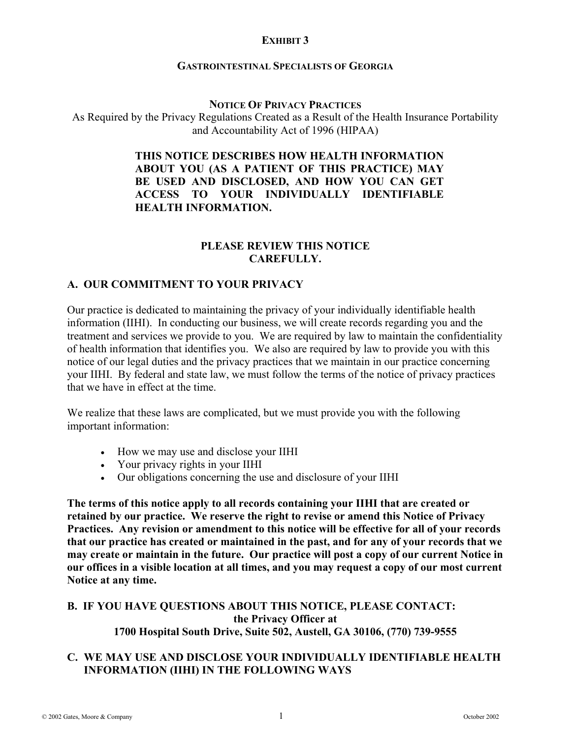## **EXHIBIT 3**

#### **GASTROINTESTINAL SPECIALISTS OF GEORGIA**

#### **NOTICE OF PRIVACY PRACTICES**

As Required by the Privacy Regulations Created as a Result of the Health Insurance Portability and Accountability Act of 1996 (HIPAA)

### **THIS NOTICE DESCRIBES HOW HEALTH INFORMATION ABOUT YOU (AS A PATIENT OF THIS PRACTICE) MAY BE USED AND DISCLOSED, AND HOW YOU CAN GET ACCESS TO YOUR INDIVIDUALLY IDENTIFIABLE HEALTH INFORMATION.**

#### **PLEASE REVIEW THIS NOTICE CAREFULLY.**

### **A. OUR COMMITMENT TO YOUR PRIVACY**

Our practice is dedicated to maintaining the privacy of your individually identifiable health information (IIHI). In conducting our business, we will create records regarding you and the treatment and services we provide to you. We are required by law to maintain the confidentiality of health information that identifies you. We also are required by law to provide you with this notice of our legal duties and the privacy practices that we maintain in our practice concerning your IIHI. By federal and state law, we must follow the terms of the notice of privacy practices that we have in effect at the time.

We realize that these laws are complicated, but we must provide you with the following important information:

- How we may use and disclose your IIHI
- Your privacy rights in your IIHI
- Our obligations concerning the use and disclosure of your IIHI

**The terms of this notice apply to all records containing your IIHI that are created or retained by our practice. We reserve the right to revise or amend this Notice of Privacy Practices. Any revision or amendment to this notice will be effective for all of your records that our practice has created or maintained in the past, and for any of your records that we may create or maintain in the future. Our practice will post a copy of our current Notice in our offices in a visible location at all times, and you may request a copy of our most current Notice at any time.** 

#### **B. IF YOU HAVE QUESTIONS ABOUT THIS NOTICE, PLEASE CONTACT: the Privacy Officer at 1700 Hospital South Drive, Suite 502, Austell, GA 30106, (770) 739-9555**

### **C. WE MAY USE AND DISCLOSE YOUR INDIVIDUALLY IDENTIFIABLE HEALTH INFORMATION (IIHI) IN THE FOLLOWING WAYS**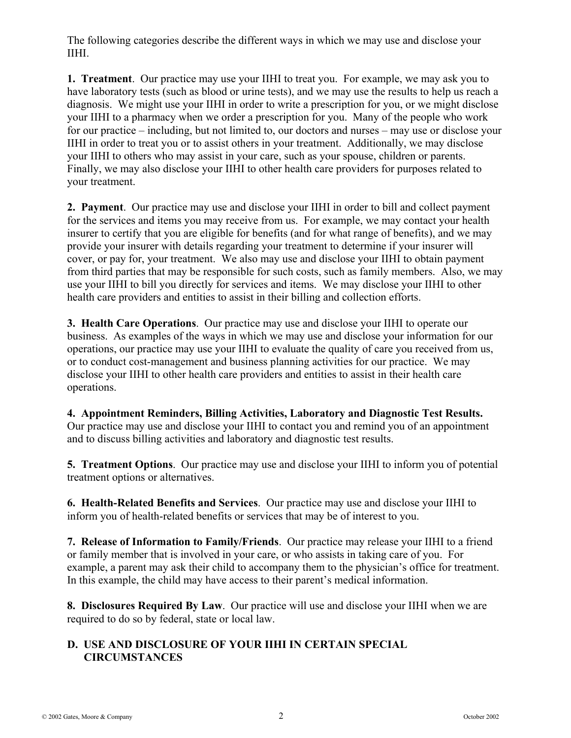The following categories describe the different ways in which we may use and disclose your IIHI.

**1. Treatment**. Our practice may use your IIHI to treat you. For example, we may ask you to have laboratory tests (such as blood or urine tests), and we may use the results to help us reach a diagnosis. We might use your IIHI in order to write a prescription for you, or we might disclose your IIHI to a pharmacy when we order a prescription for you. Many of the people who work for our practice – including, but not limited to, our doctors and nurses – may use or disclose your IIHI in order to treat you or to assist others in your treatment. Additionally, we may disclose your IIHI to others who may assist in your care, such as your spouse, children or parents. Finally, we may also disclose your IIHI to other health care providers for purposes related to your treatment.

**2. Payment**. Our practice may use and disclose your IIHI in order to bill and collect payment for the services and items you may receive from us. For example, we may contact your health insurer to certify that you are eligible for benefits (and for what range of benefits), and we may provide your insurer with details regarding your treatment to determine if your insurer will cover, or pay for, your treatment. We also may use and disclose your IIHI to obtain payment from third parties that may be responsible for such costs, such as family members. Also, we may use your IIHI to bill you directly for services and items. We may disclose your IIHI to other health care providers and entities to assist in their billing and collection efforts.

**3. Health Care Operations**. Our practice may use and disclose your IIHI to operate our business. As examples of the ways in which we may use and disclose your information for our operations, our practice may use your IIHI to evaluate the quality of care you received from us, or to conduct cost-management and business planning activities for our practice. We may disclose your IIHI to other health care providers and entities to assist in their health care operations.

**4. Appointment Reminders, Billing Activities, Laboratory and Diagnostic Test Results.** Our practice may use and disclose your IIHI to contact you and remind you of an appointment and to discuss billing activities and laboratory and diagnostic test results.

**5. Treatment Options**. Our practice may use and disclose your IIHI to inform you of potential treatment options or alternatives.

**6. Health-Related Benefits and Services**. Our practice may use and disclose your IIHI to inform you of health-related benefits or services that may be of interest to you.

**7. Release of Information to Family/Friends**. Our practice may release your IIHI to a friend or family member that is involved in your care, or who assists in taking care of you. For example, a parent may ask their child to accompany them to the physician's office for treatment. In this example, the child may have access to their parent's medical information.

**8. Disclosures Required By Law**. Our practice will use and disclose your IIHI when we are required to do so by federal, state or local law.

## **D. USE AND DISCLOSURE OF YOUR IIHI IN CERTAIN SPECIAL CIRCUMSTANCES**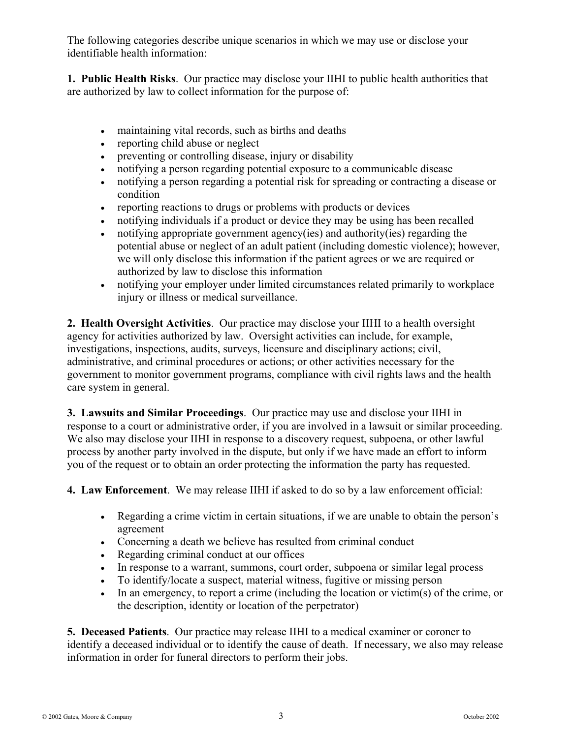The following categories describe unique scenarios in which we may use or disclose your identifiable health information:

**1. Public Health Risks**. Our practice may disclose your IIHI to public health authorities that are authorized by law to collect information for the purpose of:

- maintaining vital records, such as births and deaths
- reporting child abuse or neglect
- preventing or controlling disease, injury or disability
- notifying a person regarding potential exposure to a communicable disease
- notifying a person regarding a potential risk for spreading or contracting a disease or condition
- reporting reactions to drugs or problems with products or devices
- notifying individuals if a product or device they may be using has been recalled
- notifying appropriate government agency(ies) and authority(ies) regarding the potential abuse or neglect of an adult patient (including domestic violence); however, we will only disclose this information if the patient agrees or we are required or authorized by law to disclose this information
- notifying your employer under limited circumstances related primarily to workplace injury or illness or medical surveillance.

**2. Health Oversight Activities**. Our practice may disclose your IIHI to a health oversight agency for activities authorized by law. Oversight activities can include, for example, investigations, inspections, audits, surveys, licensure and disciplinary actions; civil, administrative, and criminal procedures or actions; or other activities necessary for the government to monitor government programs, compliance with civil rights laws and the health care system in general.

**3. Lawsuits and Similar Proceedings**. Our practice may use and disclose your IIHI in response to a court or administrative order, if you are involved in a lawsuit or similar proceeding. We also may disclose your IIHI in response to a discovery request, subpoena, or other lawful process by another party involved in the dispute, but only if we have made an effort to inform you of the request or to obtain an order protecting the information the party has requested.

**4. Law Enforcement**. We may release IIHI if asked to do so by a law enforcement official:

- Regarding a crime victim in certain situations, if we are unable to obtain the person's agreement
- Concerning a death we believe has resulted from criminal conduct
- Regarding criminal conduct at our offices
- In response to a warrant, summons, court order, subpoena or similar legal process
- To identify/locate a suspect, material witness, fugitive or missing person
- In an emergency, to report a crime (including the location or victim(s) of the crime, or the description, identity or location of the perpetrator)

**5. Deceased Patients**. Our practice may release IIHI to a medical examiner or coroner to identify a deceased individual or to identify the cause of death. If necessary, we also may release information in order for funeral directors to perform their jobs.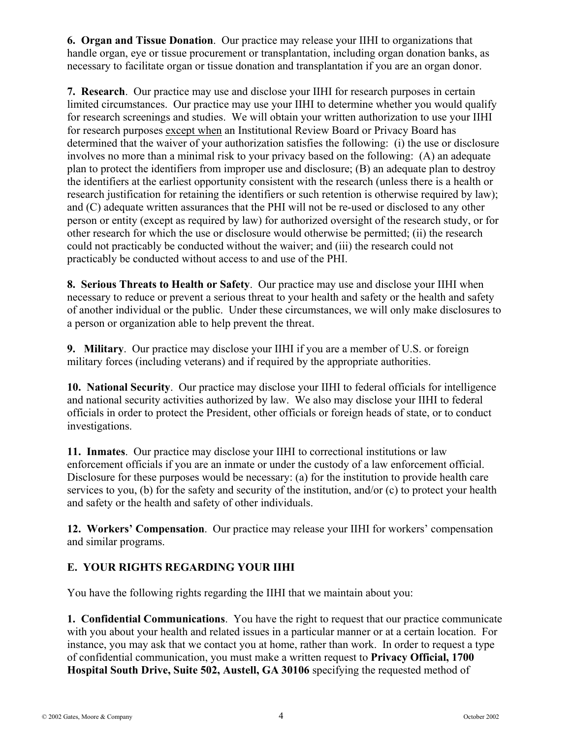**6. Organ and Tissue Donation**. Our practice may release your IIHI to organizations that handle organ, eye or tissue procurement or transplantation, including organ donation banks, as necessary to facilitate organ or tissue donation and transplantation if you are an organ donor.

**7. Research**. Our practice may use and disclose your IIHI for research purposes in certain limited circumstances. Our practice may use your IIHI to determine whether you would qualify for research screenings and studies. We will obtain your written authorization to use your IIHI for research purposes except when an Institutional Review Board or Privacy Board has determined that the waiver of your authorization satisfies the following: (i) the use or disclosure involves no more than a minimal risk to your privacy based on the following: (A) an adequate plan to protect the identifiers from improper use and disclosure; (B) an adequate plan to destroy the identifiers at the earliest opportunity consistent with the research (unless there is a health or research justification for retaining the identifiers or such retention is otherwise required by law); and (C) adequate written assurances that the PHI will not be re-used or disclosed to any other person or entity (except as required by law) for authorized oversight of the research study, or for other research for which the use or disclosure would otherwise be permitted; (ii) the research could not practicably be conducted without the waiver; and (iii) the research could not practicably be conducted without access to and use of the PHI.

**8. Serious Threats to Health or Safety**. Our practice may use and disclose your IIHI when necessary to reduce or prevent a serious threat to your health and safety or the health and safety of another individual or the public. Under these circumstances, we will only make disclosures to a person or organization able to help prevent the threat.

**9. Military**. Our practice may disclose your IIHI if you are a member of U.S. or foreign military forces (including veterans) and if required by the appropriate authorities.

**10. National Security**. Our practice may disclose your IIHI to federal officials for intelligence and national security activities authorized by law. We also may disclose your IIHI to federal officials in order to protect the President, other officials or foreign heads of state, or to conduct investigations.

**11. Inmates**. Our practice may disclose your IIHI to correctional institutions or law enforcement officials if you are an inmate or under the custody of a law enforcement official. Disclosure for these purposes would be necessary: (a) for the institution to provide health care services to you, (b) for the safety and security of the institution, and/or (c) to protect your health and safety or the health and safety of other individuals.

**12. Workers' Compensation**. Our practice may release your IIHI for workers' compensation and similar programs.

# **E. YOUR RIGHTS REGARDING YOUR IIHI**

You have the following rights regarding the IIHI that we maintain about you:

**1. Confidential Communications**. You have the right to request that our practice communicate with you about your health and related issues in a particular manner or at a certain location. For instance, you may ask that we contact you at home, rather than work. In order to request a type of confidential communication, you must make a written request to **Privacy Official, 1700 Hospital South Drive, Suite 502, Austell, GA 30106** specifying the requested method of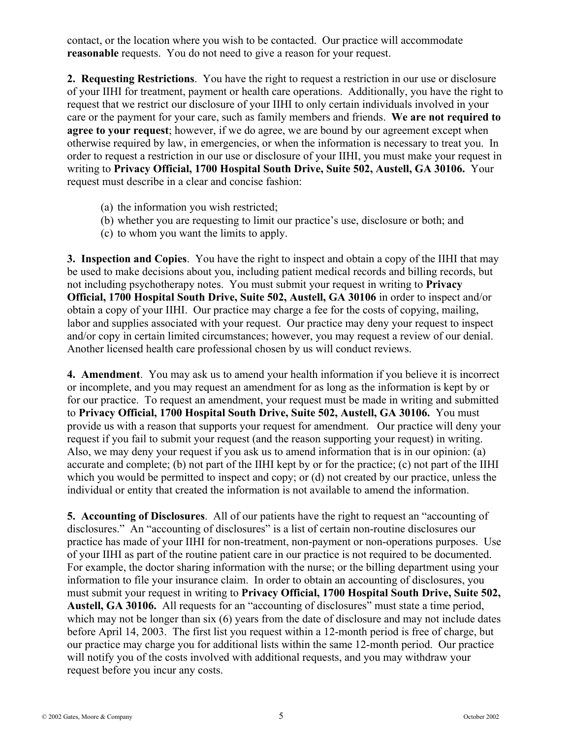contact, or the location where you wish to be contacted. Our practice will accommodate **reasonable** requests. You do not need to give a reason for your request.

**2. Requesting Restrictions**. You have the right to request a restriction in our use or disclosure of your IIHI for treatment, payment or health care operations. Additionally, you have the right to request that we restrict our disclosure of your IIHI to only certain individuals involved in your care or the payment for your care, such as family members and friends. **We are not required to agree to your request**; however, if we do agree, we are bound by our agreement except when otherwise required by law, in emergencies, or when the information is necessary to treat you. In order to request a restriction in our use or disclosure of your IIHI, you must make your request in writing to **Privacy Official, 1700 Hospital South Drive, Suite 502, Austell, GA 30106.** Your request must describe in a clear and concise fashion:

- (a) the information you wish restricted;
- (b) whether you are requesting to limit our practice's use, disclosure or both; and
- (c) to whom you want the limits to apply.

**3. Inspection and Copies**. You have the right to inspect and obtain a copy of the IIHI that may be used to make decisions about you, including patient medical records and billing records, but not including psychotherapy notes. You must submit your request in writing to **Privacy Official, 1700 Hospital South Drive, Suite 502, Austell, GA 30106** in order to inspect and/or obtain a copy of your IIHI. Our practice may charge a fee for the costs of copying, mailing, labor and supplies associated with your request. Our practice may deny your request to inspect and/or copy in certain limited circumstances; however, you may request a review of our denial. Another licensed health care professional chosen by us will conduct reviews.

**4. Amendment**. You may ask us to amend your health information if you believe it is incorrect or incomplete, and you may request an amendment for as long as the information is kept by or for our practice. To request an amendment, your request must be made in writing and submitted to **Privacy Official, 1700 Hospital South Drive, Suite 502, Austell, GA 30106.** You must provide us with a reason that supports your request for amendment. Our practice will deny your request if you fail to submit your request (and the reason supporting your request) in writing. Also, we may deny your request if you ask us to amend information that is in our opinion: (a) accurate and complete; (b) not part of the IIHI kept by or for the practice; (c) not part of the IIHI which you would be permitted to inspect and copy; or (d) not created by our practice, unless the individual or entity that created the information is not available to amend the information.

**5. Accounting of Disclosures**. All of our patients have the right to request an "accounting of disclosures." An "accounting of disclosures" is a list of certain non-routine disclosures our practice has made of your IIHI for non-treatment, non-payment or non-operations purposes. Use of your IIHI as part of the routine patient care in our practice is not required to be documented. For example, the doctor sharing information with the nurse; or the billing department using your information to file your insurance claim. In order to obtain an accounting of disclosures, you must submit your request in writing to **Privacy Official, 1700 Hospital South Drive, Suite 502, Austell, GA 30106.** All requests for an "accounting of disclosures" must state a time period, which may not be longer than six (6) years from the date of disclosure and may not include dates before April 14, 2003. The first list you request within a 12-month period is free of charge, but our practice may charge you for additional lists within the same 12-month period. Our practice will notify you of the costs involved with additional requests, and you may withdraw your request before you incur any costs.